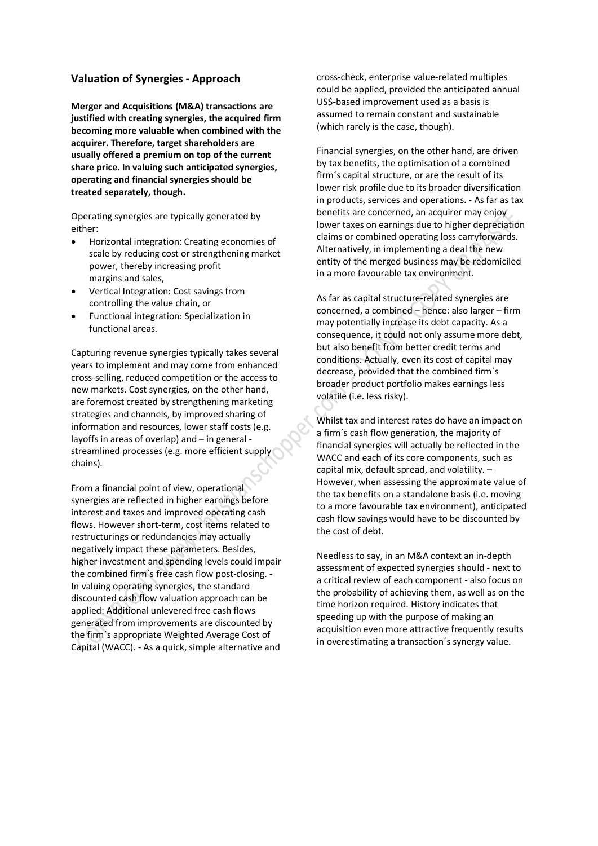## **Valuation of Synergies - Approach**

**Merger and Acquisitions (M&A) transactions are justified with creating synergies, the acquired firm becoming more valuable when combined with the acquirer. Therefore, target shareholders are usually offered a premium on top of the current share price. In valuing such anticipated synergies, operating and financial synergies should be treated separately, though.**

Operating synergies are typically generated by either:

- · Horizontal integration: Creating economies of scale by reducing cost or strengthening market power, thereby increasing profit margins and sales,
- · Vertical Integration: Cost savings from controlling the value chain, or
- · Functional integration: Specialization in functional areas.

Capturing revenue synergies typically takes several years to implement and may come from enhanced cross-selling, reduced competition or the access to new markets. Cost synergies, on the other hand, are foremost created by strengthening marketing strategies and channels, by improved sharing of information and resources, lower staff costs (e.g. layoffs in areas of overlap) and – in general streamlined processes (e.g. more efficient supply chains).

From a financial point of view, operational synergies are reflected in higher earnings before interest and taxes and improved operating cash flows. However short-term, cost items related to restructurings or redundancies may actually negatively impact these parameters. Besides, higher investment and spending levels could impair the combined firm´s free cash flow post-closing. - In valuing operating synergies, the standard discounted cash flow valuation approach can be applied: Additional unlevered free cash flows generated from improvements are discounted by the firm´s appropriate Weighted Average Cost of Capital (WACC). - As a quick, simple alternative and

cross-check, enterprise value-related multiples could be applied, provided the anticipated annual US\$-based improvement used as a basis is assumed to remain constant and sustainable (which rarely is the case, though).

Financial synergies, on the other hand, are driven by tax benefits, the optimisation of a combined firm´s capital structure, or are the result of its lower risk profile due to its broader diversification in products, services and operations. - As far as tax benefits are concerned, an acquirer may enjoy lower taxes on earnings due to higher depreciation claims or combined operating loss carryforwards. Alternatively, in implementing a deal the new entity of the merged business may be redomiciled in a more favourable tax environment.

As far as capital structure-related synergies are concerned, a combined – hence: also larger – firm may potentially increase its debt capacity. As a consequence, it could not only assume more debt, but also benefit from better credit terms and conditions. Actually, even its cost of capital may decrease, provided that the combined firm´s broader product portfolio makes earnings less volatile (i.e. less risky).

Whilst tax and interest rates do have an impact on a firm´s cash flow generation, the majority of financial synergies will actually be reflected in the WACC and each of its core components, such as capital mix, default spread, and volatility. – However, when assessing the approximate value of the tax benefits on a standalone basis (i.e. moving to a more favourable tax environment), anticipated cash flow savings would have to be discounted by the cost of debt.

Needless to say, in an M&A context an in-depth assessment of expected synergies should - next to a critical review of each component - also focus on the probability of achieving them, as well as on the time horizon required. History indicates that speeding up with the purpose of making an acquisition even more attractive frequently results in overestimating a transaction´s synergy value.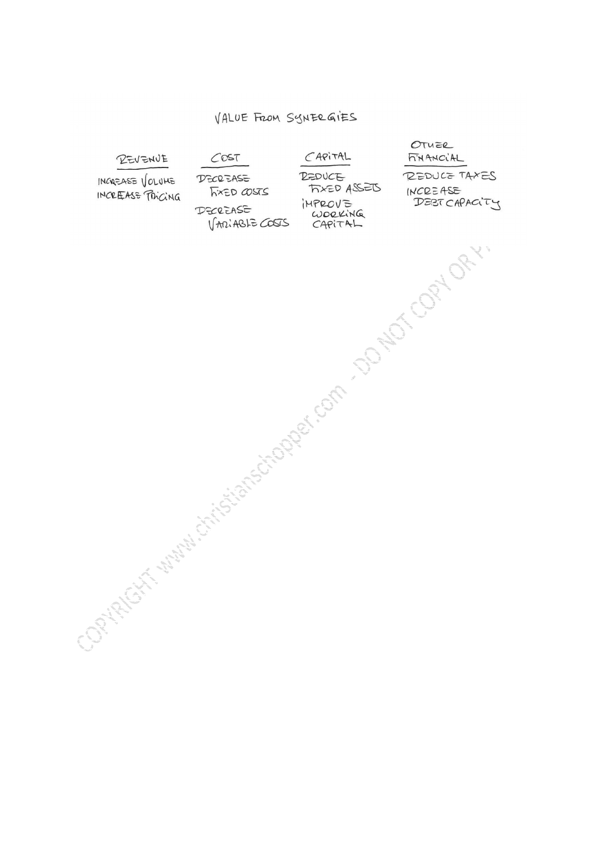## VALUE FROM SYNERGIES

OTUER  $CAPITAL$ **FINANCIAL** REVENUE  $COST$ REDUCE TAXES **DEDUCE DECREASE** INCREASE VOLUME **FIXED ASSETS** INCREASE **FIXED COSTS** INCREASE PRICING Comparison of the transition of the Company of the Company of the Company of the Company of the Company of the IMPROVE<br>WORKING<br>CAPITAL DEBTCAPACITY DECREASE